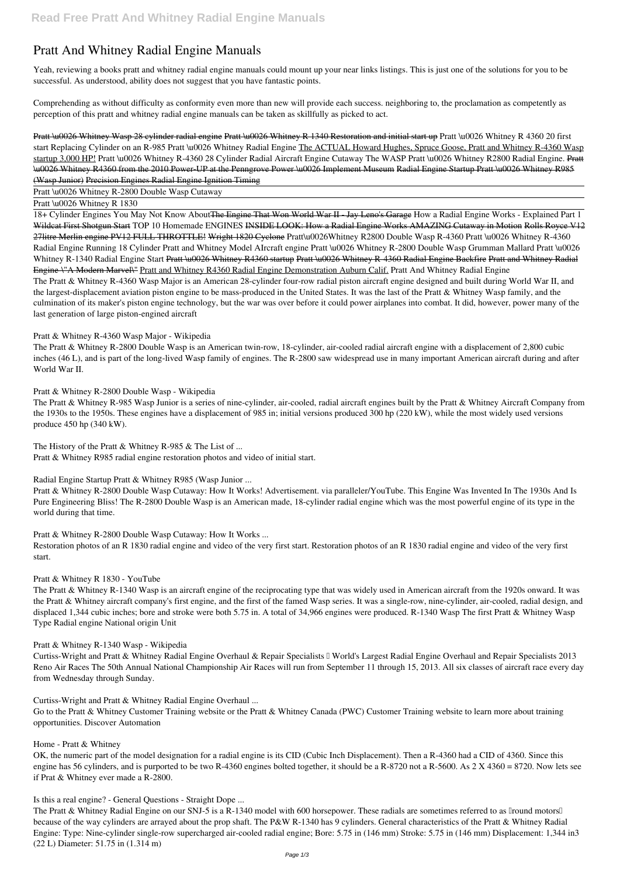# **Pratt And Whitney Radial Engine Manuals**

Yeah, reviewing a books **pratt and whitney radial engine manuals** could mount up your near links listings. This is just one of the solutions for you to be successful. As understood, ability does not suggest that you have fantastic points.

Comprehending as without difficulty as conformity even more than new will provide each success. neighboring to, the proclamation as competently as perception of this pratt and whitney radial engine manuals can be taken as skillfully as picked to act.

Pratt \u0026 Whitney Wasp 28 cylinder radial engine Pratt \u0026 Whitney R 1340 Restoration and initial start up *Pratt \u0026 Whitney R 4360 20 first start* Replacing Cylinder on an R-985 Pratt \u0026 Whitney Radial Engine The ACTUAL Howard Hughes, Spruce Goose, Pratt and Whitney R-4360 Wasp startup 3,000 HP! Pratt \u0026 Whitney R-4360 28 Cylinder Radial Aircraft Engine Cutaway The WASP Pratt \u0026 Whitney R2800 Radial Engine. Pratt \u0026 Whitney R4360 from the 2010 Power-UP at the Penngrove Power \u0026 Implement Museum Radial Engine Startup Pratt \u0026 Whitney R985 (Wasp Junior) Precision Engines Radial Engine Ignition Timing

Pratt \u0026 Whitney R-2800 Double Wasp Cutaway

Pratt \u0026 Whitney R 1830

18+ Cylinder Engines You May Not Know AboutThe Engine That Won World War II - Jay Leno's Garage **How a Radial Engine Works - Explained Part 1** Wildcat First Shotgun Start *TOP 10 Homemade ENGINES* INSIDE LOOK: How a Radial Engine Works AMAZING Cutaway in Motion Rolls Royce V12 27litre Merlin engine PV12 FULL THROTTLE! Wright 1820 Cyclone **Pratt\u0026Whitney R2800 Double Wasp R-4360** *Pratt \u0026 Whitney R-4360 Radial Engine Running 18 Cylinder Pratt and Whitney Model AIrcraft engine* **Pratt \u0026 Whitney R-2800 Double Wasp** *Grumman Mallard Pratt \u0026 Whitney R-1340 Radial Engine Start* Pratt \u0026 Whitney R4360 startup Pratt \u0026 Whitney R-4360 Radial Engine Backfire Pratt and Whitney Radial Engine-\"A Modern Marvel\" Pratt and Whitney R4360 Radial Engine Demonstration Auburn Calif. **Pratt And Whitney Radial Engine** The Pratt & Whitney R-4360 Wasp Major is an American 28-cylinder four-row radial piston aircraft engine designed and built during World War II, and the largest-displacement aviation piston engine to be mass-produced in the United States. It was the last of the Pratt & Whitney Wasp family, and the culmination of its maker's piston engine technology, but the war was over before it could power airplanes into combat. It did, however, power many of the last generation of large piston-engined aircraft

## **Pratt & Whitney R-4360 Wasp Major - Wikipedia**

The Pratt & Whitney R-2800 Double Wasp is an American twin-row, 18-cylinder, air-cooled radial aircraft engine with a displacement of 2,800 cubic inches (46 L), and is part of the long-lived Wasp family of engines. The R-2800 saw widespread use in many important American aircraft during and after World War II.

## **Pratt & Whitney R-2800 Double Wasp - Wikipedia**

The Pratt & Whitney Radial Engine on our SNJ-5 is a R-1340 model with 600 horsepower. These radials are sometimes referred to as Iround motors II because of the way cylinders are arrayed about the prop shaft. The P&W R-1340 has 9 cylinders. General characteristics of the Pratt & Whitney Radial Engine: Type: Nine-cylinder single-row supercharged air-cooled radial engine; Bore: 5.75 in (146 mm) Stroke: 5.75 in (146 mm) Displacement: 1,344 in3 (22 L) Diameter: 51.75 in (1.314 m)

The Pratt & Whitney R-985 Wasp Junior is a series of nine-cylinder, air-cooled, radial aircraft engines built by the Pratt & Whitney Aircraft Company from the 1930s to the 1950s. These engines have a displacement of 985 in; initial versions produced 300 hp (220 kW), while the most widely used versions produce 450 hp (340 kW).

**The History of the Pratt & Whitney R-985 & The List of ...** Pratt & Whitney R985 radial engine restoration photos and video of initial start.

**Radial Engine Startup Pratt & Whitney R985 (Wasp Junior ...**

Pratt & Whitney R-2800 Double Wasp Cutaway: How It Works! Advertisement. via paralleler/YouTube. This Engine Was Invented In The 1930s And Is Pure Engineering Bliss! The R-2800 Double Wasp is an American made, 18-cylinder radial engine which was the most powerful engine of its type in the world during that time.

**Pratt & Whitney R-2800 Double Wasp Cutaway: How It Works ...**

Restoration photos of an R 1830 radial engine and video of the very first start. Restoration photos of an R 1830 radial engine and video of the very first start.

## **Pratt & Whitney R 1830 - YouTube**

The Pratt & Whitney R-1340 Wasp is an aircraft engine of the reciprocating type that was widely used in American aircraft from the 1920s onward. It was the Pratt & Whitney aircraft company's first engine, and the first of the famed Wasp series. It was a single-row, nine-cylinder, air-cooled, radial design, and displaced 1,344 cubic inches; bore and stroke were both 5.75 in. A total of 34,966 engines were produced. R-1340 Wasp The first Pratt & Whitney Wasp Type Radial engine National origin Unit

## **Pratt & Whitney R-1340 Wasp - Wikipedia**

Curtiss-Wright and Pratt & Whitney Radial Engine Overhaul & Repair Specialists I World's Largest Radial Engine Overhaul and Repair Specialists 2013

Reno Air Races The 50th Annual National Championship Air Races will run from September 11 through 15, 2013. All six classes of aircraft race every day from Wednesday through Sunday.

**Curtiss-Wright and Pratt & Whitney Radial Engine Overhaul ...**

Go to the Pratt & Whitney Customer Training website or the Pratt & Whitney Canada (PWC) Customer Training website to learn more about training opportunities. Discover Automation

#### **Home - Pratt & Whitney**

OK, the numeric part of the model designation for a radial engine is its CID (Cubic Inch Displacement). Then a R-4360 had a CID of 4360. Since this engine has 56 cylinders, and is purported to be two R-4360 engines bolted together, it should be a R-8720 not a R-5600. As 2 X 4360 = 8720. Now lets see if Prat & Whitney ever made a R-2800.

#### **Is this a real engine? - General Questions - Straight Dope ...**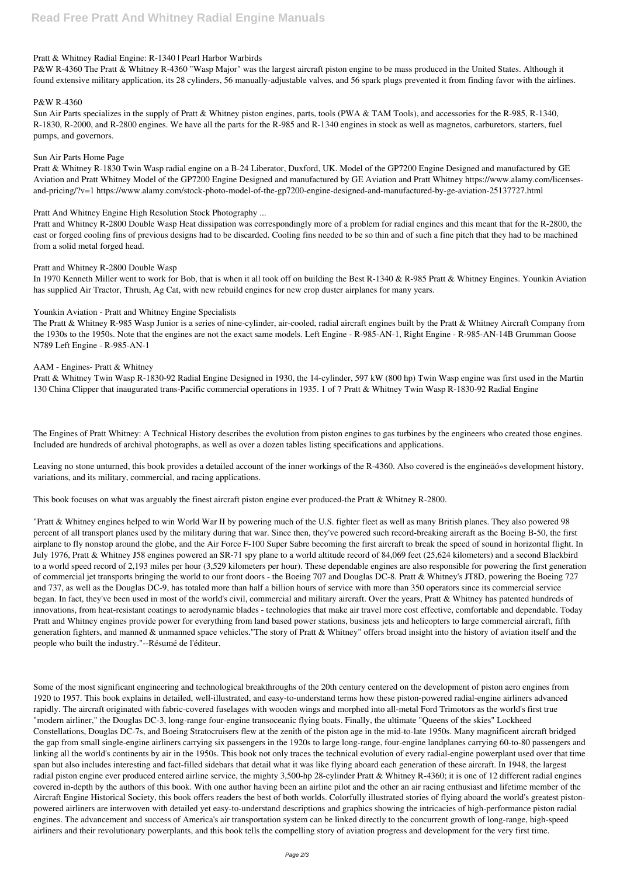## **Pratt & Whitney Radial Engine: R-1340 | Pearl Harbor Warbirds**

P&W R-4360 The Pratt & Whitney R-4360 "Wasp Major" was the largest aircraft piston engine to be mass produced in the United States. Although it found extensive military application, its 28 cylinders, 56 manually-adjustable valves, and 56 spark plugs prevented it from finding favor with the airlines.

## **P&W R-4360**

Sun Air Parts specializes in the supply of Pratt & Whitney piston engines, parts, tools (PWA & TAM Tools), and accessories for the R-985, R-1340, R-1830, R-2000, and R-2800 engines. We have all the parts for the R-985 and R-1340 engines in stock as well as magnetos, carburetors, starters, fuel pumps, and governors.

#### **Sun Air Parts Home Page**

In 1970 Kenneth Miller went to work for Bob, that is when it all took off on building the Best R-1340 & R-985 Pratt & Whitney Engines. Younkin Aviation has supplied Air Tractor, Thrush, Ag Cat, with new rebuild engines for new crop duster airplanes for many years.

Pratt & Whitney R-1830 Twin Wasp radial engine on a B-24 Liberator, Duxford, UK. Model of the GP7200 Engine Designed and manufactured by GE Aviation and Pratt Whitney Model of the GP7200 Engine Designed and manufactured by GE Aviation and Pratt Whitney https://www.alamy.com/licensesand-pricing/?v=1 https://www.alamy.com/stock-photo-model-of-the-gp7200-engine-designed-and-manufactured-by-ge-aviation-25137727.html

## **Pratt And Whitney Engine High Resolution Stock Photography ...**

Pratt and Whitney R-2800 Double Wasp Heat dissipation was correspondingly more of a problem for radial engines and this meant that for the R-2800, the cast or forged cooling fins of previous designs had to be discarded. Cooling fins needed to be so thin and of such a fine pitch that they had to be machined from a solid metal forged head.

## **Pratt and Whitney R-2800 Double Wasp**

## **Younkin Aviation - Pratt and Whitney Engine Specialists**

The Pratt & Whitney R-985 Wasp Junior is a series of nine-cylinder, air-cooled, radial aircraft engines built by the Pratt & Whitney Aircraft Company from the 1930s to the 1950s. Note that the engines are not the exact same models. Left Engine - R-985-AN-1, Right Engine - R-985-AN-14B Grumman Goose N789 Left Engine - R-985-AN-1

## **AAM - Engines- Pratt & Whitney**

Pratt & Whitney Twin Wasp R-1830-92 Radial Engine Designed in 1930, the 14-cylinder, 597 kW (800 hp) Twin Wasp engine was first used in the Martin 130 China Clipper that inaugurated trans-Pacific commercial operations in 1935. 1 of 7 Pratt & Whitney Twin Wasp R-1830-92 Radial Engine

The Engines of Pratt Whitney: A Technical History describes the evolution from piston engines to gas turbines by the engineers who created those engines. Included are hundreds of archival photographs, as well as over a dozen tables listing specifications and applications.

Leaving no stone unturned, this book provides a detailed account of the inner workings of the R-4360. Also covered is the engineäó»s development history, variations, and its military, commercial, and racing applications.

This book focuses on what was arguably the finest aircraft piston engine ever produced-the Pratt & Whitney R-2800.

"Pratt & Whitney engines helped to win World War II by powering much of the U.S. fighter fleet as well as many British planes. They also powered 98 percent of all transport planes used by the military during that war. Since then, they've powered such record-breaking aircraft as the Boeing B-50, the first airplane to fly nonstop around the globe, and the Air Force F-100 Super Sabre becoming the first aircraft to break the speed of sound in horizontal flight. In July 1976, Pratt & Whitney J58 engines powered an SR-71 spy plane to a world altitude record of 84,069 feet (25,624 kilometers) and a second Blackbird to a world speed record of 2,193 miles per hour (3,529 kilometers per hour). These dependable engines are also responsible for powering the first generation of commercial jet transports bringing the world to our front doors - the Boeing 707 and Douglas DC-8. Pratt & Whitney's JT8D, powering the Boeing 727 and 737, as well as the Douglas DC-9, has totaled more than half a billion hours of service with more than 350 operators since its commercial service began. In fact, they've been used in most of the world's civil, commercial and military aircraft. Over the years, Pratt & Whitney has patented hundreds of innovations, from heat-resistant coatings to aerodynamic blades - technologies that make air travel more cost effective, comfortable and dependable. Today Pratt and Whitney engines provide power for everything from land based power stations, business jets and helicopters to large commercial aircraft, fifth generation fighters, and manned & unmanned space vehicles."The story of Pratt & Whitney" offers broad insight into the history of aviation itself and the people who built the industry."--Résumé de l'éditeur.

Some of the most significant engineering and technological breakthroughs of the 20th century centered on the development of piston aero engines from 1920 to 1957. This book explains in detailed, well-illustrated, and easy-to-understand terms how these piston-powered radial-engine airliners advanced rapidly. The aircraft originated with fabric-covered fuselages with wooden wings and morphed into all-metal Ford Trimotors as the world's first true "modern airliner," the Douglas DC-3, long-range four-engine transoceanic flying boats. Finally, the ultimate "Queens of the skies" Lockheed Constellations, Douglas DC-7s, and Boeing Stratocruisers flew at the zenith of the piston age in the mid-to-late 1950s. Many magnificent aircraft bridged the gap from small single-engine airliners carrying six passengers in the 1920s to large long-range, four-engine landplanes carrying 60-to-80 passengers and linking all the world's continents by air in the 1950s. This book not only traces the technical evolution of every radial-engine powerplant used over that time span but also includes interesting and fact-filled sidebars that detail what it was like flying aboard each generation of these aircraft. In 1948, the largest radial piston engine ever produced entered airline service, the mighty 3,500-hp 28-cylinder Pratt & Whitney R-4360; it is one of 12 different radial engines covered in-depth by the authors of this book. With one author having been an airline pilot and the other an air racing enthusiast and lifetime member of the Aircraft Engine Historical Society, this book offers readers the best of both worlds. Colorfully illustrated stories of flying aboard the world's greatest pistonpowered airliners are interwoven with detailed yet easy-to-understand descriptions and graphics showing the intricacies of high-performance piston radial engines. The advancement and success of America's air transportation system can be linked directly to the concurrent growth of long-range, high-speed airliners and their revolutionary powerplants, and this book tells the compelling story of aviation progress and development for the very first time.